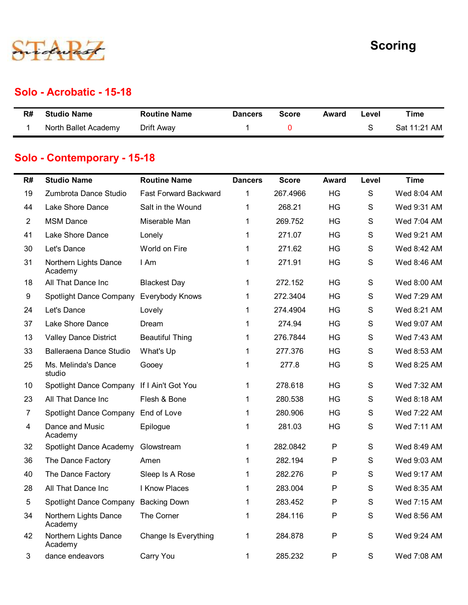

#### Solo - Acrobatic - 15-18

|    |                          |                     |                |              |       |               | <b>Scoring</b> |
|----|--------------------------|---------------------|----------------|--------------|-------|---------------|----------------|
|    |                          |                     |                |              |       |               |                |
|    | Solo - Acrobatic - 15-18 |                     |                |              |       |               |                |
| R# | <b>Studio Name</b>       | <b>Routine Name</b> | <b>Dancers</b> | <b>Score</b> | Award | Level         | <b>Time</b>    |
|    | North Ballet Academy     | Drift Away          | $\mathbf{1}$   | $\mathbf 0$  |       | ${\mathsf S}$ | Sat 11:21 AM   |

#### Solo - Contemporary - 15-18

|                 |                                            |                              |                |              |              |               | <b>Scoring</b> |
|-----------------|--------------------------------------------|------------------------------|----------------|--------------|--------------|---------------|----------------|
|                 |                                            |                              |                |              |              |               |                |
|                 | <b>Solo - Acrobatic - 15-18</b>            |                              |                |              |              |               |                |
| R#              | <b>Studio Name</b>                         | <b>Routine Name</b>          | <b>Dancers</b> | <b>Score</b> | <b>Award</b> | Level         | <b>Time</b>    |
| 1               | North Ballet Academy                       | Drift Away                   | 1              | 0            |              | S             | Sat 11:21 AM   |
|                 | Solo - Contemporary - 15-18                |                              |                |              |              |               |                |
| R#              | <b>Studio Name</b>                         | <b>Routine Name</b>          | <b>Dancers</b> | <b>Score</b> | Award        | Level         | <b>Time</b>    |
| 19              | Zumbrota Dance Studio                      | <b>Fast Forward Backward</b> | 1              | 267.4966     | HG           | S             | Wed 8:04 AM    |
| 44              | Lake Shore Dance                           | Salt in the Wound            |                | 268.21       | HG           | S             | Wed 9:31 AM    |
| $\overline{2}$  | <b>MSM Dance</b>                           | Miserable Man                |                | 269.752      | HG           | S             | Wed 7:04 AM    |
| 41              | Lake Shore Dance                           | Lonely                       |                | 271.07       | HG           | S             | Wed 9:21 AM    |
| 30              | Let's Dance                                | World on Fire                |                | 271.62       | HG           | S             | Wed 8:42 AM    |
| 31              | Northern Lights Dance<br>Academy           | I Am                         |                | 271.91       | HG           | S             | Wed 8:46 AM    |
| 18              | All That Dance Inc                         | <b>Blackest Day</b>          |                | 272.152      | HG           | S             | Wed 8:00 AM    |
| 9               | Spotlight Dance Company                    | Everybody Knows              |                | 272.3404     | HG           | S             | Wed 7:29 AM    |
| 24              | Let's Dance                                | Lovely                       |                | 274.4904     | <b>HG</b>    | S             | Wed 8:21 AM    |
| 37              | Lake Shore Dance                           | Dream                        |                | 274.94       | HG           | S             | Wed 9:07 AM    |
| 13              | <b>Valley Dance District</b>               | <b>Beautiful Thing</b>       |                | 276.7844     | HG           | S             | Wed 7:43 AM    |
| 33              | <b>Balleraena Dance Studio</b>             | What's Up                    |                | 277.376      | HG           | $\mathsf S$   | Wed 8:53 AM    |
| 25              | Ms. Melinda's Dance<br>studio              | Gooey                        |                | 277.8        | HG           | S             | Wed 8:25 AM    |
| 10 <sup>°</sup> | Spotlight Dance Company If I Ain't Got You |                              |                | 278.618      | HG           | S             | Wed 7:32 AM    |
| 23              | All That Dance Inc                         | Flesh & Bone                 |                | 280.538      | HG           | S             | Wed 8:18 AM    |
| $\overline{7}$  | Spotlight Dance Company                    | End of Love                  |                | 280.906      | HG           | S             | Wed 7:22 AM    |
| 4               | Dance and Music<br>Academy                 | Epilogue                     |                | 281.03       | HG           | S             | Wed 7:11 AM    |
| 32              | Spotlight Dance Academy                    | Glowstream                   | $\mathbf 1$    | 282.0842     | P            | ${\mathsf S}$ | Wed 8:49 AM    |
| 36              | The Dance Factory                          | Amen                         |                | 282.194      | P            | S             | Wed 9:03 AM    |
| 40              | The Dance Factory                          | Sleep Is A Rose              |                | 282.276      | P            | S             | Wed 9:17 AM    |
| 28              | All That Dance Inc                         | I Know Places                |                | 283.004      | P            | S             | Wed 8:35 AM    |
| 5               | Spotlight Dance Company                    | <b>Backing Down</b>          |                | 283.452      | P            | S             | Wed 7:15 AM    |
| 34              | Northern Lights Dance<br>Academy           | The Corner                   | 1              | 284.116      | P            | S             | Wed 8:56 AM    |
| 42              | Northern Lights Dance<br>Academy           | Change Is Everything         | $\mathbf{1}$   | 284.878      | P            | S             | Wed 9:24 AM    |
| 3               | dance endeavors                            | Carry You                    |                | 285.232      | P            | S             | Wed 7:08 AM    |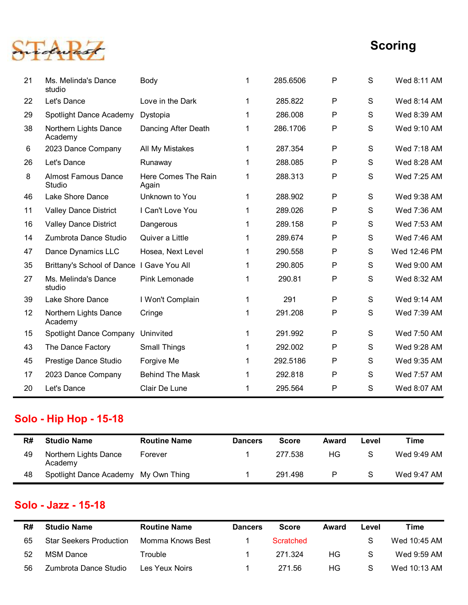

| 8  | <b>Almost Famous Dance</b><br>Studio      | Here Comes The Rain<br>Again | -1             | 288.313      | P            | S             | Wed 7:25 AM  |
|----|-------------------------------------------|------------------------------|----------------|--------------|--------------|---------------|--------------|
| 46 | Lake Shore Dance                          | Unknown to You               |                | 288.902      | P            | S             | Wed 9:38 AM  |
| 11 | <b>Valley Dance District</b>              | I Can't Love You             |                | 289.026      | P            | S             | Wed 7:36 AM  |
| 16 | <b>Valley Dance District</b>              | Dangerous                    |                | 289.158      | P            | S             | Wed 7:53 AM  |
| 14 | Zumbrota Dance Studio                     | Quiver a Little              |                | 289.674      | P            | S             | Wed 7:46 AM  |
| 47 | Dance Dynamics LLC                        | Hosea, Next Level            |                | 290.558      | P            | S             | Wed 12:46 PM |
| 35 | Brittany's School of Dance I Gave You All |                              |                | 290.805      | P            | ${\mathsf S}$ | Wed 9:00 AM  |
| 27 | Ms. Melinda's Dance<br>studio             | Pink Lemonade                |                | 290.81       | P            | ${\mathsf S}$ | Wed 8:32 AM  |
| 39 | Lake Shore Dance                          | I Won't Complain             |                | 291          | P            | ${\mathsf S}$ | Wed 9:14 AM  |
| 12 | Northern Lights Dance<br>Academy          | Cringe                       |                | 291.208      | P            | S             | Wed 7:39 AM  |
| 15 | Spotlight Dance Company Uninvited         |                              |                | 291.992      | P            | S             | Wed 7:50 AM  |
| 43 | The Dance Factory                         | <b>Small Things</b>          |                | 292.002      | P            | S             | Wed 9:28 AM  |
| 45 | Prestige Dance Studio                     | Forgive Me                   |                | 292.5186     | P            | S             | Wed 9:35 AM  |
| 17 | 2023 Dance Company                        | <b>Behind The Mask</b>       | -1             | 292.818      | P            | S             | Wed 7:57 AM  |
| 20 | Let's Dance                               | Clair De Lune                | 1              | 295.564      | P            | S             | Wed 8:07 AM  |
|    | <b>iolo - Hip Hop - 15-18</b>             |                              |                |              |              |               |              |
| R# | <b>Studio Name</b>                        | <b>Routine Name</b>          | <b>Dancers</b> | <b>Score</b> | <b>Award</b> | Level         | <b>Time</b>  |
| 49 | Northern Lights Dance<br>Academy          | Forever                      | 1              | 277.538      | HG           | ${\mathsf S}$ | Wed 9:49 AM  |
|    |                                           |                              |                |              |              |               |              |

### Solo - Hip Hop - 15-18

| R# | <b>Studio Name</b>                   | <b>Routine Name</b> | <b>Dancers</b> | <b>Score</b> | Award | Level        | Time        |
|----|--------------------------------------|---------------------|----------------|--------------|-------|--------------|-------------|
| 49 | Northern Lights Dance<br>Academy     | Forever             |                | 277 538      | НG    | -S           | Wed 9:49 AM |
| 48 | Spotlight Dance Academy My Own Thing |                     |                | 291.498      | Þ     | <sub>S</sub> | Wed 9:47 AM |

#### Solo - Jazz - 15-18

| 45       | Prestige Dance Studio                              | Forgive Me                              | 1                             | 292.5186             | P     | S             | Wed 9:35 AM                 |
|----------|----------------------------------------------------|-----------------------------------------|-------------------------------|----------------------|-------|---------------|-----------------------------|
| 17       | 2023 Dance Company                                 | <b>Behind The Mask</b>                  | 1                             | 292.818              | P     | S             | Wed 7:57 AM                 |
| 20       | Let's Dance                                        | Clair De Lune                           |                               | 295.564              | P     | S             | Wed 8:07 AM                 |
|          |                                                    |                                         |                               |                      |       |               |                             |
|          | <b>Solo - Hip Hop - 15-18</b>                      |                                         |                               |                      |       |               |                             |
| R#       | <b>Studio Name</b>                                 | <b>Routine Name</b>                     | <b>Dancers</b>                | <b>Score</b>         | Award | Level         | <b>Time</b>                 |
| 49       | Northern Lights Dance                              | Forever                                 |                               | 277.538              | HG    | ${\mathsf S}$ | Wed 9:49 AM                 |
|          | Academy                                            |                                         |                               |                      |       |               |                             |
| 48       | Spotlight Dance Academy My Own Thing               |                                         | $\mathbf 1$                   | 291.498              | P     | S             | Wed 9:47 AM                 |
|          | Solo - Jazz - 15-18                                |                                         |                               |                      |       |               |                             |
| R#       | <b>Studio Name</b>                                 | <b>Routine Name</b><br>Momma Knows Best | <b>Dancers</b><br>$\mathbf 1$ | <b>Score</b>         | Award | Level         | <b>Time</b>                 |
| 65<br>52 | <b>Star Seekers Production</b><br><b>MSM Dance</b> | Trouble                                 | 1                             | Scratched<br>271.324 | HG    | S<br>S        | Wed 10:45 AM<br>Wed 9:59 AM |
| 56       | Zumbrota Dance Studio                              | Les Yeux Noirs                          | $\mathbf 1$                   | 271.56               | HG    | S             | Wed 10:13 AM                |
|          |                                                    |                                         |                               |                      |       |               |                             |
|          |                                                    |                                         |                               |                      |       |               |                             |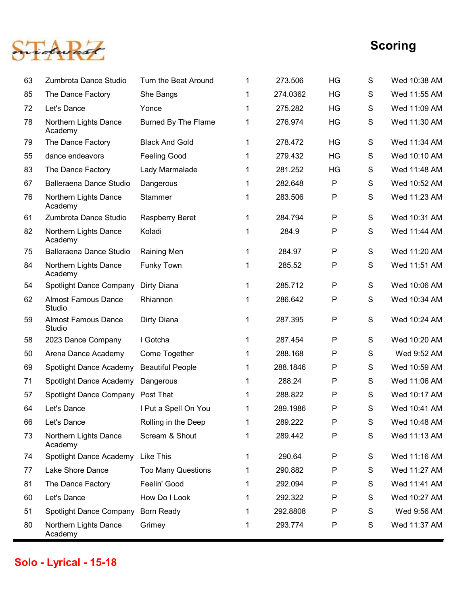

|    |                                      |                            |              |          |              |   | <b>Scoring</b> |
|----|--------------------------------------|----------------------------|--------------|----------|--------------|---|----------------|
| 63 | Zumbrota Dance Studio                | Turn the Beat Around       | $\mathbf{1}$ | 273.506  | HG           | S | Wed 10:38 AM   |
| 85 | The Dance Factory                    | She Bangs                  | $\mathbf 1$  | 274.0362 | HG           | S | Wed 11:55 AM   |
| 72 | Let's Dance                          | Yonce                      | $\mathbf 1$  | 275.282  | HG           | S | Wed 11:09 AM   |
| 78 | Northern Lights Dance<br>Academy     | <b>Burned By The Flame</b> | $\mathbf{1}$ | 276.974  | HG           | S | Wed 11:30 AM   |
| 79 | The Dance Factory                    | <b>Black And Gold</b>      | $\mathbf{1}$ | 278.472  | <b>HG</b>    | S | Wed 11:34 AM   |
| 55 | dance endeavors                      | <b>Feeling Good</b>        | $\mathbf{1}$ | 279.432  | HG           | S | Wed 10:10 AM   |
| 83 | The Dance Factory                    | Lady Marmalade             | $\mathbf{1}$ | 281.252  | <b>HG</b>    | S | Wed 11:48 AM   |
| 67 | Balleraena Dance Studio              | Dangerous                  | $\mathbf 1$  | 282.648  | P            | S | Wed 10:52 AM   |
| 76 | Northern Lights Dance<br>Academy     | Stammer                    | $\mathbf{1}$ | 283.506  | P            | S | Wed 11:23 AM   |
| 61 | Zumbrota Dance Studio                | Raspberry Beret            |              | 284.794  | P            | S | Wed 10:31 AM   |
| 82 | Northern Lights Dance<br>Academy     | Koladi                     | $\mathbf{1}$ | 284.9    | P            | S | Wed 11:44 AM   |
| 75 | Balleraena Dance Studio              | Raining Men                | $\mathbf{1}$ | 284.97   | $\mathsf{P}$ | S | Wed 11:20 AM   |
| 84 | Northern Lights Dance<br>Academy     | Funky Town                 | $\mathbf{1}$ | 285.52   | $\sf P$      | S | Wed 11:51 AM   |
| 54 | Spotlight Dance Company              | Dirty Diana                | $\mathbf 1$  | 285.712  | $\sf P$      | S | Wed 10:06 AM   |
| 62 | <b>Almost Famous Dance</b><br>Studio | Rhiannon                   | 1            | 286.642  | P            | S | Wed 10:34 AM   |
| 59 | <b>Almost Famous Dance</b><br>Studio | Dirty Diana                | $\mathbf{1}$ | 287.395  | $\sf P$      | S | Wed 10:24 AM   |
| 58 | 2023 Dance Company                   | I Gotcha                   | $\mathbf 1$  | 287.454  | $\mathsf{P}$ | S | Wed 10:20 AM   |
| 50 | Arena Dance Academy                  | Come Together              | 1            | 288.168  | $\sf P$      | S | Wed 9:52 AM    |
| 69 | Spotlight Dance Academy              | <b>Beautiful People</b>    | 1            | 288.1846 | $\mathsf{P}$ | S | Wed 10:59 AM   |
| 71 | Spotlight Dance Academy              | Dangerous                  | 1            | 288.24   | $\sf P$      | S | Wed 11:06 AM   |
| 57 | Spotlight Dance Company Post That    |                            | 1            | 288.822  | P            | S | Wed 10:17 AM   |
| 64 | Let's Dance                          | I Put a Spell On You       | 1            | 289.1986 | P            | S | Wed 10:41 AM   |
| 66 | Let's Dance                          | Rolling in the Deep        | $\mathbf{1}$ | 289.222  | $\sf P$      | S | Wed 10:48 AM   |
| 73 | Northern Lights Dance<br>Academy     | Scream & Shout             | $\mathbf{1}$ | 289.442  | $\sf P$      | S | Wed 11:13 AM   |
| 74 | Spotlight Dance Academy              | <b>Like This</b>           | $\mathbf{1}$ | 290.64   | ${\sf P}$    | S | Wed 11:16 AM   |
| 77 | Lake Shore Dance                     | <b>Too Many Questions</b>  | $\mathbf{1}$ | 290.882  | P            | S | Wed 11:27 AM   |
| 81 | The Dance Factory                    | Feelin' Good               | $\mathbf{1}$ | 292.094  | $\mathsf{P}$ | S | Wed 11:41 AM   |
| 60 | Let's Dance                          | How Do I Look              | $\mathbf 1$  | 292.322  | P            | S | Wed 10:27 AM   |
| 51 | Spotlight Dance Company              | <b>Born Ready</b>          | 1            | 292.8808 | $\mathsf{P}$ | S | Wed 9:56 AM    |
| 80 | Northern Lights Dance<br>Academy     | Grimey                     | 1            | 293.774  | P            | S | Wed 11:37 AM   |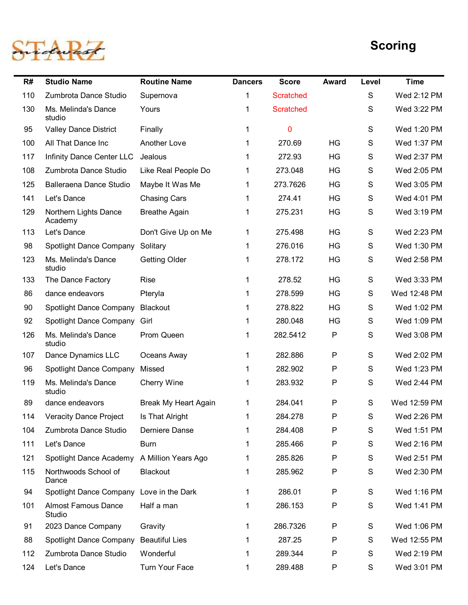

|     |                                             |                      |                |                  |              |               | <b>Scoring</b> |
|-----|---------------------------------------------|----------------------|----------------|------------------|--------------|---------------|----------------|
| R#  | <b>Studio Name</b>                          | <b>Routine Name</b>  | <b>Dancers</b> | <b>Score</b>     | Award        | Level         | <b>Time</b>    |
| 110 | Zumbrota Dance Studio                       | Supernova            | 1              | <b>Scratched</b> |              | ${\mathsf S}$ | Wed 2:12 PM    |
| 130 | Ms. Melinda's Dance<br>studio               | Yours                |                | <b>Scratched</b> |              | S             | Wed 3:22 PM    |
| 95  | <b>Valley Dance District</b>                | Finally              |                | $\mathbf 0$      |              | ${\mathsf S}$ | Wed 1:20 PM    |
| 100 | All That Dance Inc                          | Another Love         |                | 270.69           | <b>HG</b>    | $\mathsf{S}$  | Wed 1:37 PM    |
| 117 | Infinity Dance Center LLC                   | Jealous              |                | 272.93           | <b>HG</b>    | S             | Wed 2:37 PM    |
| 108 | Zumbrota Dance Studio                       | Like Real People Do  |                | 273.048          | <b>HG</b>    | S             | Wed 2:05 PM    |
| 125 | Balleraena Dance Studio                     | Maybe It Was Me      |                | 273.7626         | <b>HG</b>    | S             | Wed 3:05 PM    |
| 141 | Let's Dance                                 | <b>Chasing Cars</b>  |                | 274.41           | <b>HG</b>    | $\mathbf S$   | Wed 4:01 PM    |
| 129 | Northern Lights Dance<br>Academy            | <b>Breathe Again</b> |                | 275.231          | <b>HG</b>    | S             | Wed 3:19 PM    |
| 113 | Let's Dance                                 | Don't Give Up on Me  | 1              | 275.498          | HG           | S             | Wed 2:23 PM    |
| 98  | Spotlight Dance Company                     | Solitary             |                | 276.016          | HG           | S             | Wed 1:30 PM    |
| 123 | Ms. Melinda's Dance<br>studio               | <b>Getting Older</b> |                | 278.172          | HG           | S             | Wed 2:58 PM    |
| 133 | The Dance Factory                           | Rise                 |                | 278.52           | HG           | S             | Wed 3:33 PM    |
| 86  | dance endeavors                             | Pteryla              |                | 278.599          | HG           | $\mathsf{S}$  | Wed 12:48 PM   |
| 90  | Spotlight Dance Company                     | Blackout             |                | 278.822          | HG           | S             | Wed 1:02 PM    |
| 92  | Spotlight Dance Company Girl                |                      |                | 280.048          | HG           | S             | Wed 1:09 PM    |
| 126 | Ms. Melinda's Dance<br>studio               | Prom Queen           |                | 282.5412         | P            | $\mathsf{S}$  | Wed 3:08 PM    |
| 107 | Dance Dynamics LLC                          | Oceans Away          | 1              | 282.886          | P            | S             | Wed 2:02 PM    |
| 96  | Spotlight Dance Company                     | Missed               |                | 282.902          | P            | S             | Wed 1:23 PM    |
| 119 | Ms. Melinda's Dance<br>studio               | Cherry Wine          |                | 283.932          | P            | $\mathsf{S}$  | Wed 2:44 PM    |
| 89  | dance endeavors                             | Break My Heart Again | $\mathbf 1$    | 284.041          | P            | S             | Wed 12:59 PM   |
| 114 | <b>Veracity Dance Project</b>               | Is That Alright      |                | 284.278          | P            | S             | Wed 2:26 PM    |
| 104 | Zumbrota Dance Studio                       | Derniere Danse       |                | 284.408          | P            | S             | Wed 1:51 PM    |
| 111 | Let's Dance                                 | <b>Burn</b>          |                | 285.466          | P            | S             | Wed 2:16 PM    |
| 121 | Spotlight Dance Academy A Million Years Ago |                      |                | 285.826          | P            | S             | Wed 2:51 PM    |
| 115 | Northwoods School of<br>Dance               | Blackout             |                | 285.962          | P            | S             | Wed 2:30 PM    |
| 94  | Spotlight Dance Company Love in the Dark    |                      |                | 286.01           | P            | S             | Wed 1:16 PM    |
| 101 | <b>Almost Famous Dance</b><br>Studio        | Half a man           |                | 286.153          | P            | $\mathsf{S}$  | Wed 1:41 PM    |
| 91  | 2023 Dance Company                          | Gravity              |                | 286.7326         | P            | S             | Wed 1:06 PM    |
| 88  | Spotlight Dance Company Beautiful Lies      |                      |                | 287.25           | P            | $\mathsf S$   | Wed 12:55 PM   |
| 112 | Zumbrota Dance Studio                       | Wonderful            |                | 289.344          | P            | S             | Wed 2:19 PM    |
|     | 124 Let's Dance                             | Turn Your Face       |                | 289.488          | $\mathsf{P}$ | S             | Wed 3:01 PM    |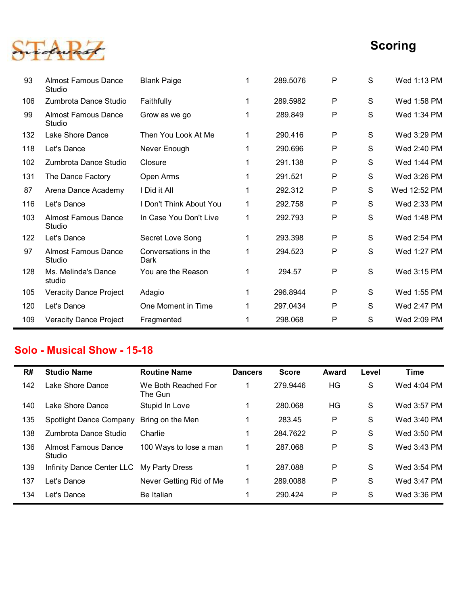

|     |                                          |                                |                |              |              |               | <b>Scoring</b> |
|-----|------------------------------------------|--------------------------------|----------------|--------------|--------------|---------------|----------------|
|     |                                          |                                |                |              |              |               |                |
| 93  | <b>Almost Famous Dance</b><br>Studio     | <b>Blank Paige</b>             | 1              | 289.5076     | P            | ${\mathsf S}$ | Wed 1:13 PM    |
| 106 | Zumbrota Dance Studio                    | Faithfully                     | 1              | 289.5982     | P            | S             | Wed 1:58 PM    |
| 99  | <b>Almost Famous Dance</b><br>Studio     | Grow as we go                  | 1              | 289.849      | P            | $\mathsf S$   | Wed 1:34 PM    |
| 132 | Lake Shore Dance                         | Then You Look At Me            | 1              | 290.416      | P            | S             | Wed 3:29 PM    |
| 118 | Let's Dance                              | Never Enough                   | 1              | 290.696      | P            | S             | Wed 2:40 PM    |
| 102 | Zumbrota Dance Studio                    | Closure                        | 1              | 291.138      | P            | S             | Wed 1:44 PM    |
| 131 | The Dance Factory                        | Open Arms                      | 1              | 291.521      | P            | S             | Wed 3:26 PM    |
| 87  | Arena Dance Academy                      | I Did it All                   | 1              | 292.312      | P            | S             | Wed 12:52 PM   |
| 116 | Let's Dance                              | I Don't Think About You        | 1              | 292.758      | P            | S             | Wed 2:33 PM    |
| 103 | <b>Almost Famous Dance</b><br>Studio     | In Case You Don't Live         | 1              | 292.793      | P            | S             | Wed 1:48 PM    |
| 122 | Let's Dance                              | Secret Love Song               | 1              | 293.398      | $\mathsf{P}$ | S             | Wed 2:54 PM    |
| 97  | <b>Almost Famous Dance</b><br>Studio     | Conversations in the<br>Dark   | -1             | 294.523      | $\mathsf{P}$ | ${\mathsf S}$ | Wed 1:27 PM    |
| 128 | Ms. Melinda's Dance<br>studio            | You are the Reason             | $\mathbf{1}$   | 294.57       | P            | S             | Wed 3:15 PM    |
| 105 | <b>Veracity Dance Project</b>            | Adagio                         | $\mathbf 1$    | 296.8944     | $\mathsf{P}$ | ${\mathsf S}$ | Wed 1:55 PM    |
| 120 | Let's Dance                              | One Moment in Time             | $\mathbf{1}$   | 297.0434     | $\mathsf{P}$ | S             | Wed 2:47 PM    |
| 109 | Veracity Dance Project                   | Fragmented                     | 1              | 298.068      | P            | S             | Wed 2:09 PM    |
|     |                                          |                                |                |              |              |               |                |
|     | <b>Solo - Musical Show - 15-18</b>       |                                |                |              |              |               |                |
| R#  | <b>Studio Name</b>                       | <b>Routine Name</b>            | <b>Dancers</b> | <b>Score</b> | <b>Award</b> | Level         | <b>Time</b>    |
| 142 | Lake Shore Dance                         | We Both Reached For<br>The Gun | -1             | 279.9446     | HG           | ${\mathsf S}$ | Wed 4:04 PM    |
| 140 | Lake Shore Dance                         | Stupid In Love                 | 1              | 280.068      | HG           | S             | Wed 3:57 PM    |
| 135 | Spotlight Dance Company                  | Bring on the Men               | 1              | 283.45       | P            | S             | Wed 3:40 PM    |
| 138 | Zumbrota Dance Studio                    | Charlie                        | 1              | 284.7622     | P            | S             | Wed 3:50 PM    |
| 136 | <b>Almost Famous Dance</b><br>Studio     | 100 Ways to lose a man         | $\mathbf 1$    | 287.068      | P            | ${\mathsf S}$ | Wed 3:43 PM    |
|     | Infinity Dance Center LLC My Party Dress |                                |                | 287.088      | P            | S.            | Wed 3:54 PM    |

#### Solo - Musical Show - 15-18

|     | Let's Dance                          | Secret Love Song               | -1             | 293.398      | $\mathsf{P}$ | S             | Wed 2:54 PM |
|-----|--------------------------------------|--------------------------------|----------------|--------------|--------------|---------------|-------------|
| 97  | <b>Almost Famous Dance</b><br>Studio | Conversations in the<br>Dark   | 1              | 294.523      | P            | S             | Wed 1:27 PM |
| 128 | Ms. Melinda's Dance<br>studio        | You are the Reason             | 1              | 294.57       | $\mathsf{P}$ | S             | Wed 3:15 PM |
| 105 | <b>Veracity Dance Project</b>        | Adagio                         |                | 296.8944     | P            | S             | Wed 1:55 PM |
| 120 | Let's Dance                          | One Moment in Time             |                | 297.0434     | P            | $\mathsf{S}$  | Wed 2:47 PM |
| 109 | <b>Veracity Dance Project</b>        | Fragmented                     |                | 298.068      | P            | S             | Wed 2:09 PM |
|     | <b>Solo - Musical Show - 15-18</b>   |                                |                |              |              |               |             |
| R#  | <b>Studio Name</b>                   | <b>Routine Name</b>            | <b>Dancers</b> | <b>Score</b> | Award        | Level         | <b>Time</b> |
|     |                                      |                                |                |              |              |               |             |
| 142 | Lake Shore Dance                     | We Both Reached For<br>The Gun | 1              | 279.9446     | HG           | ${\mathsf S}$ | Wed 4:04 PM |
| 140 | Lake Shore Dance                     | Stupid In Love                 |                | 280.068      | HG           | S             | Wed 3:57 PM |
| 135 | Spotlight Dance Company              | Bring on the Men               |                | 283.45       | P            | S             | Wed 3:40 PM |
| 138 | Zumbrota Dance Studio                | Charlie                        |                | 284.7622     | $\mathsf{P}$ | S             | Wed 3:50 PM |
| 136 | <b>Almost Famous Dance</b><br>Studio | 100 Ways to lose a man         |                | 287.068      | $\mathsf{P}$ | S             | Wed 3:43 PM |
| 139 | Infinity Dance Center LLC            | My Party Dress                 |                | 287.088      | P            | S             | Wed 3:54 PM |
| 137 | Let's Dance                          | Never Getting Rid of Me        |                | 289.0088     | P            | S             | Wed 3:47 PM |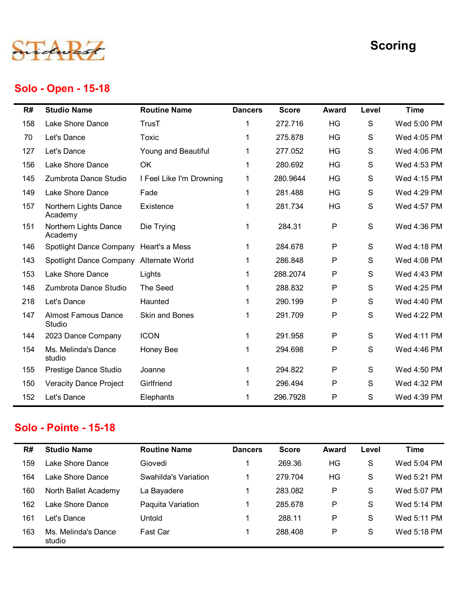

### Solo - Open - 15-18

|     |                                        |                          |                |              |              |       | <b>Scoring</b> |
|-----|----------------------------------------|--------------------------|----------------|--------------|--------------|-------|----------------|
|     | Solo - Open - 15-18                    |                          |                |              |              |       |                |
| R#  | <b>Studio Name</b>                     | <b>Routine Name</b>      | <b>Dancers</b> | <b>Score</b> | <b>Award</b> | Level | <b>Time</b>    |
| 158 | Lake Shore Dance                       | <b>TrusT</b>             | 1              | 272.716      | HG           | S     | Wed 5:00 PM    |
| 70  | Let's Dance                            | Toxic                    | 1              | 275.878      | HG           | S     | Wed 4:05 PM    |
| 127 | Let's Dance                            | Young and Beautiful      | 1              | 277.052      | HG           | S     | Wed 4:06 PM    |
| 156 | Lake Shore Dance                       | OK                       | $\mathbf 1$    | 280.692      | HG           | S     | Wed 4:53 PM    |
| 145 | Zumbrota Dance Studio                  | I Feel Like I'm Drowning | $\mathbf{1}$   | 280.9644     | HG           | S     | Wed 4:15 PM    |
| 149 | Lake Shore Dance                       | Fade                     | 1              | 281.488      | HG           | S     | Wed 4:29 PM    |
| 157 | Northern Lights Dance<br>Academy       | Existence                | 1              | 281.734      | HG           | S     | Wed 4:57 PM    |
| 151 | Northern Lights Dance<br>Academy       | Die Trying               | 1              | 284.31       | P            | S     | Wed 4:36 PM    |
| 146 | Spotlight Dance Company Heart's a Mess |                          |                | 284.678      | P            | S     | Wed 4:18 PM    |
| 143 | Spotlight Dance Company                | Alternate World          |                | 286.848      | P            | S     | Wed 4:08 PM    |
| 153 | Lake Shore Dance                       | Lights                   |                | 288.2074     | P            | S     | Wed 4:43 PM    |
| 148 | Zumbrota Dance Studio                  | The Seed                 |                | 288.832      | P            | S     | Wed 4:25 PM    |
| 218 | Let's Dance                            | Haunted                  | 1              | 290.199      | P            | S     | Wed 4:40 PM    |
| 147 | <b>Almost Famous Dance</b><br>Studio   | <b>Skin and Bones</b>    |                | 291.709      | P            | S     | Wed 4:22 PM    |
| 144 | 2023 Dance Company                     | <b>ICON</b>              | $\mathbf{1}$   | 291.958      | P            | S     | Wed 4:11 PM    |
| 154 | Ms. Melinda's Dance<br>studio          | Honey Bee                | 1              | 294.698      | P            | S     | Wed 4:46 PM    |
| 155 | Prestige Dance Studio                  | Joanne                   |                | 294.822      | P            | S     | Wed 4:50 PM    |
| 150 | <b>Veracity Dance Project</b>          | Girlfriend               |                | 296.494      | P            | S     | Wed 4:32 PM    |
| 152 | Let's Dance                            | Elephants                |                | 296.7928     | P            | S     | Wed 4:39 PM    |

#### Solo - Pointe - 15-18

| 147 | <b>Almost Famous Dance</b><br>Studio | Skin and Bones       | $\overline{1}$ | 291.709      | P     | S     | Wed 4:22 PM |
|-----|--------------------------------------|----------------------|----------------|--------------|-------|-------|-------------|
| 144 | 2023 Dance Company                   | <b>ICON</b>          |                | 291.958      | P     | S     | Wed 4:11 PM |
| 154 | Ms. Melinda's Dance<br>studio        | Honey Bee            |                | 294.698      | P     | S     | Wed 4:46 PM |
| 155 | Prestige Dance Studio                | Joanne               |                | 294.822      | P     | S     | Wed 4:50 PM |
| 150 | <b>Veracity Dance Project</b>        | Girlfriend           |                | 296.494      | P     | S     | Wed 4:32 PM |
| 152 | Let's Dance                          | Elephants            |                | 296.7928     | P     | S     | Wed 4:39 PM |
|     | <b>Solo - Pointe - 15-18</b>         |                      |                |              |       |       |             |
|     |                                      |                      |                |              |       |       |             |
|     |                                      |                      |                |              |       |       |             |
| R#  | <b>Studio Name</b>                   | <b>Routine Name</b>  | <b>Dancers</b> | <b>Score</b> | Award | Level | <b>Time</b> |
| 159 | Lake Shore Dance                     | Giovedi              |                | 269.36       | HG    | S     | Wed 5:04 PM |
| 164 | Lake Shore Dance                     | Swahilda's Variation |                | 279.704      | HG    | S     | Wed 5:21 PM |
| 160 | North Ballet Academy                 | La Bayadere          |                | 283.082      | P     | S     | Wed 5:07 PM |
| 162 | Lake Shore Dance                     | Paquita Variation    |                | 285.678      | P     | S     | Wed 5:14 PM |
| 161 | Let's Dance                          | Untold               |                | 288.11       | P     | S     | Wed 5:11 PM |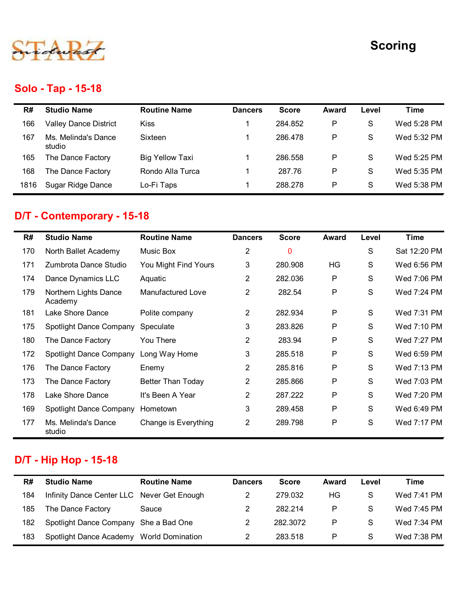

### Solo - Tap - 15-18

|      |                                  |                        |                |              |              |               | <b>Scoring</b> |
|------|----------------------------------|------------------------|----------------|--------------|--------------|---------------|----------------|
|      |                                  |                        |                |              |              |               |                |
|      | <b>Solo - Tap - 15-18</b>        |                        |                |              |              |               |                |
| R#   | <b>Studio Name</b>               | <b>Routine Name</b>    | <b>Dancers</b> | <b>Score</b> | <b>Award</b> | Level         | <b>Time</b>    |
| 166  | <b>Valley Dance District</b>     | <b>Kiss</b>            | -1             | 284.852      | P            | S             | Wed 5:28 PM    |
| 167  | Ms. Melinda's Dance<br>studio    | Sixteen                | 1              | 286.478      | P            | S             | Wed 5:32 PM    |
| 165  | The Dance Factory                | <b>Big Yellow Taxi</b> |                | 286.558      | P            | ${\mathsf S}$ | Wed 5:25 PM    |
| 168  | The Dance Factory                | Rondo Alla Turca       | 1              | 287.76       | P            | S             | Wed 5:35 PM    |
| 1816 | Sugar Ridge Dance                | Lo-Fi Taps             | 1              | 288.278      | P            | ${\mathsf S}$ | Wed 5:38 PM    |
|      | D/T - Contemporary - 15-18       |                        |                |              |              |               |                |
| R#   | <b>Studio Name</b>               | <b>Routine Name</b>    | <b>Dancers</b> | <b>Score</b> | <b>Award</b> | Level         | <b>Time</b>    |
| 170  | North Ballet Academy             | Music Box              | $\overline{2}$ | $\bf{0}$     |              | ${\mathsf S}$ | Sat 12:20 PM   |
| 171  | Zumbrota Dance Studio            | You Might Find Yours   | 3              | 280.908      | HG           | S             | Wed 6:56 PM    |
| 174  | Dance Dynamics LLC               | Aquatic                | $\overline{2}$ | 282.036      | P            | S             | Wed 7:06 PM    |
| 179  | Northern Lights Dance<br>Academy | Manufactured Love      | $\overline{2}$ | 282.54       | ${\sf P}$    | ${\mathsf S}$ | Wed 7:24 PM    |
| 181  | Lake Shore Dance                 | Polite company         | $\mathcal{P}$  | 282.934      | P            | S             | Wed 7:31 PM    |

### D/T - Contemporary - 15-18

| R#   | <b>Studio Name</b>                         | <b>Routine Name</b>      | <b>Dancers</b> | <b>Score</b> | <b>Award</b> | Level         | <b>Time</b>  |
|------|--------------------------------------------|--------------------------|----------------|--------------|--------------|---------------|--------------|
| 166  | <b>Valley Dance District</b>               | Kiss                     |                | 284.852      | P            | S             | Wed 5:28 PM  |
|      | Ms. Melinda's Dance                        | Sixteen                  |                | 286.478      | P            | S             | Wed 5:32 PM  |
| 167  | studio                                     |                          |                |              |              |               |              |
| 165  | The Dance Factory                          | <b>Big Yellow Taxi</b>   |                | 286.558      | P            | S             | Wed 5:25 PM  |
| 168  | The Dance Factory                          | Rondo Alla Turca         |                | 287.76       | P            | S             | Wed 5:35 PM  |
| 1816 | Sugar Ridge Dance                          | Lo-Fi Taps               |                | 288.278      | P            | S             | Wed 5:38 PM  |
|      | D/T - Contemporary - 15-18                 |                          |                |              |              |               |              |
| R#   | <b>Studio Name</b>                         | <b>Routine Name</b>      | <b>Dancers</b> | <b>Score</b> | Award        | Level         | <b>Time</b>  |
| 170  | North Ballet Academy                       | Music Box                | $\overline{c}$ | $\mathbf{0}$ |              | S             | Sat 12:20 PM |
| 171  | Zumbrota Dance Studio                      | You Might Find Yours     | 3              | 280.908      | HG           | S             | Wed 6:56 PM  |
| 174  | Dance Dynamics LLC                         | Aquatic                  | $\mathbf{2}$   | 282.036      | P            | S             | Wed 7:06 PM  |
| 179  | Northern Lights Dance<br>Academy           | Manufactured Love        | $\overline{2}$ | 282.54       | P            | S             | Wed 7:24 PM  |
| 181  | Lake Shore Dance                           | Polite company           | $\overline{2}$ | 282.934      | P            | S             | Wed 7:31 PM  |
| 175  | Spotlight Dance Company                    | Speculate                | 3              | 283.826      | P            | ${\mathsf S}$ | Wed 7:10 PM  |
| 180  | The Dance Factory                          | You There                | $\overline{2}$ | 283.94       | P            | S             | Wed 7:27 PM  |
| 172  | Spotlight Dance Company                    | Long Way Home            | 3              | 285.518      | P            | S             | Wed 6:59 PM  |
| 176  | The Dance Factory                          | Enemy                    | 2              | 285.816      | P            | S             | Wed 7:13 PM  |
| 173  | The Dance Factory                          | <b>Better Than Today</b> | 2              | 285.866      | P            | S             | Wed 7:03 PM  |
| 178  | Lake Shore Dance                           | It's Been A Year         | $\mathbf{2}$   | 287.222      | P            | S             | Wed 7:20 PM  |
| 169  | Spotlight Dance Company                    | Hometown                 | 3              | 289.458      | P            | S             | Wed 6:49 PM  |
|      | 177 Ms. Melinda's Dance<br>studio          | Change is Everything     | $\overline{2}$ | 289.798      | P            | S             | Wed 7:17 PM  |
|      | <b>D/T - Hip Hop - 15-18</b>               |                          |                |              |              |               |              |
| R#   | <b>Studio Name</b>                         | <b>Routine Name</b>      | <b>Dancers</b> | <b>Score</b> | <b>Award</b> | Level         | <b>Time</b>  |
| 184  | Infinity Dance Center LLC Never Get Enough |                          | $\overline{2}$ | 279.032      | HG           | S             | Wed 7:41 PM  |
| 185  | The Dance Factory                          | Sauce                    | $\overline{2}$ | 282.214      | P            | S             | Wed 7:45 PM  |
| 182  | Spotlight Dance Company She a Bad One      |                          | 2              | 282.3072     | Ρ            | S             | Wed 7:34 PM  |
|      |                                            |                          |                | 283.518      | P            | S             | Wed 7:38 PM  |

### D/T - Hip Hop - 15-18

| R#  | <b>Studio Name</b>                         | <b>Routine Name</b>     | <b>Dancers</b> | <b>Score</b> | Award | Level | Time        |
|-----|--------------------------------------------|-------------------------|----------------|--------------|-------|-------|-------------|
| 184 | Infinity Dance Center LLC Never Get Enough |                         |                | 279.032      | HG    | S     | Wed 7:41 PM |
| 185 | The Dance Factory                          | Sauce                   | 2              | 282.214      | P     | S     | Wed 7:45 PM |
| 182 | Spotlight Dance Company She a Bad One      |                         |                | 282.3072     | P     | S     | Wed 7:34 PM |
| 183 | Spotlight Dance Academy                    | <b>World Domination</b> |                | 283.518      | P     | S     | Wed 7:38 PM |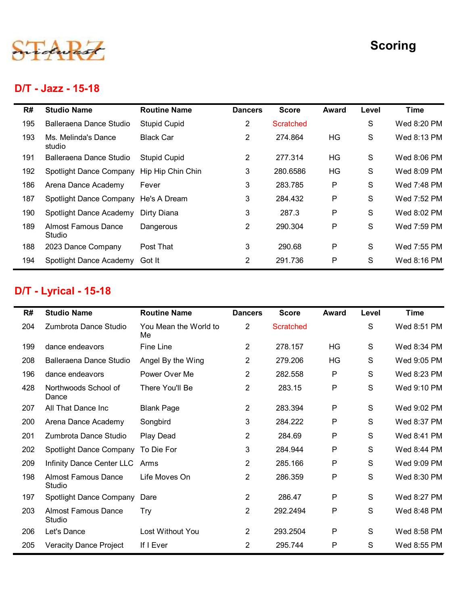

#### D/T - Jazz - 15-18

L.

|     |                                           |                             |                |                  |              |              | <b>Scoring</b> |
|-----|-------------------------------------------|-----------------------------|----------------|------------------|--------------|--------------|----------------|
|     | D/T - Jazz - 15-18                        |                             |                |                  |              |              |                |
| R#  | <b>Studio Name</b>                        | <b>Routine Name</b>         | <b>Dancers</b> | <b>Score</b>     | <b>Award</b> | Level        | <b>Time</b>    |
| 195 | Balleraena Dance Studio                   | <b>Stupid Cupid</b>         | $\overline{2}$ | <b>Scratched</b> |              | S            | Wed 8:20 PM    |
| 193 | Ms. Melinda's Dance<br>studio             | <b>Black Car</b>            | $\overline{2}$ | 274.864          | HG           | S            | Wed 8:13 PM    |
| 191 | Balleraena Dance Studio                   | <b>Stupid Cupid</b>         | $\overline{2}$ | 277.314          | <b>HG</b>    | $\mathsf{S}$ | Wed 8:06 PM    |
| 192 | Spotlight Dance Company Hip Hip Chin Chin |                             | 3              | 280.6586         | <b>HG</b>    | S            | Wed 8:09 PM    |
| 186 | Arena Dance Academy                       | Fever                       | 3              | 283.785          | P            | S            | Wed 7:48 PM    |
| 187 | Spotlight Dance Company He's A Dream      |                             | 3              | 284.432          | $\mathsf{P}$ | S            | Wed 7:52 PM    |
| 190 | Spotlight Dance Academy                   | Dirty Diana                 | 3              | 287.3            | P            | S            | Wed 8:02 PM    |
| 189 | <b>Almost Famous Dance</b><br>Studio      | Dangerous                   | $\overline{2}$ | 290.304          | $\mathsf{P}$ | $\mathsf{S}$ | Wed 7:59 PM    |
| 188 | 2023 Dance Company                        | Post That                   | 3              | 290.68           | P            | S            | Wed 7:55 PM    |
| 194 | Spotlight Dance Academy Got It            |                             | $\overline{2}$ | 291.736          | P            | S            | Wed 8:16 PM    |
|     | <b>D/T - Lyrical - 15-18</b>              |                             |                |                  |              |              |                |
| R#  | <b>Studio Name</b>                        | <b>Routine Name</b>         | <b>Dancers</b> | <b>Score</b>     | Award        | Level        | <b>Time</b>    |
| 204 | Zumbrota Dance Studio                     | You Mean the World to<br>Me | $\overline{c}$ | Scratched        |              | S            | Wed 8:51 PM    |
| 199 | dance endeavors                           | Fine Line                   | $\overline{a}$ | 278.157          | HG           | S            | Wed 8:34 PM    |
| 208 | Balleraena Dance Studio                   | Angel By the Wing           | $\overline{c}$ | 279.206          | HG           | S            | Wed 9:05 PM    |
| 196 | dance endeavors                           | Power Over Me               | $\overline{c}$ | 282.558          | P            | S            | Wed 8:23 PM    |
| 428 | Northwoods School of<br>Dance             | There You'll Be             | $\overline{2}$ | 283.15           | P            | S            | Wed 9:10 PM    |
| 207 | All That Dance Inc.                       | <b>Blank Page</b>           | $\mathcal{P}$  | 283.394          | P            | S.           | Wed 9:02 PM    |

### D/T - Lyrical - 15-18

| 186 | Arena Dance Academy                  | Fever                       | 3              | 283.785          | P            | S             | Wed 7:48 PM |
|-----|--------------------------------------|-----------------------------|----------------|------------------|--------------|---------------|-------------|
| 187 | Spotlight Dance Company              | He's A Dream                | 3              | 284.432          | P            | ${\mathsf S}$ | Wed 7:52 PM |
| 190 | Spotlight Dance Academy              | Dirty Diana                 | 3              | 287.3            | P            | S             | Wed 8:02 PM |
| 189 | <b>Almost Famous Dance</b><br>Studio | Dangerous                   | $\overline{2}$ | 290.304          | P            | $\mathsf S$   | Wed 7:59 PM |
| 188 | 2023 Dance Company                   | Post That                   | 3              | 290.68           | P            | S             | Wed 7:55 PM |
| 194 | Spotlight Dance Academy Got It       |                             | $\overline{2}$ | 291.736          | P            | S             | Wed 8:16 PM |
|     | <b>D/T - Lyrical - 15-18</b>         |                             |                |                  |              |               |             |
| R#  | <b>Studio Name</b>                   | <b>Routine Name</b>         | <b>Dancers</b> | <b>Score</b>     | <b>Award</b> | Level         | <b>Time</b> |
| 204 | Zumbrota Dance Studio                | You Mean the World to<br>Me | $\overline{2}$ | <b>Scratched</b> |              | S             | Wed 8:51 PM |
| 199 | dance endeavors                      | Fine Line                   | $\overline{2}$ | 278.157          | HG           | S             | Wed 8:34 PM |
| 208 | Balleraena Dance Studio              | Angel By the Wing           | $\overline{2}$ | 279.206          | HG           | S             | Wed 9:05 PM |
| 196 | dance endeavors                      | Power Over Me               | $\overline{2}$ | 282.558          | P            | S             | Wed 8:23 PM |
| 428 | Northwoods School of<br>Dance        | There You'll Be             | $\overline{2}$ | 283.15           | P            | S             | Wed 9:10 PM |
| 207 | All That Dance Inc                   | <b>Blank Page</b>           | $\overline{2}$ | 283.394          | P            | S             | Wed 9:02 PM |
| 200 | Arena Dance Academy                  | Songbird                    | 3              | 284.222          | P            | S             | Wed 8:37 PM |
| 201 | Zumbrota Dance Studio                | Play Dead                   | $\overline{2}$ | 284.69           | P            | S             | Wed 8:41 PM |
| 202 | Spotlight Dance Company              | To Die For                  | 3              | 284.944          | P            | S             | Wed 8:44 PM |
| 209 | Infinity Dance Center LLC Arms       |                             | $\overline{2}$ | 285.166          | P            | S             | Wed 9:09 PM |
| 198 | <b>Almost Famous Dance</b><br>Studio | Life Moves On               | $\overline{2}$ | 286.359          | P            | S             | Wed 8:30 PM |
| 197 | Spotlight Dance Company              | Dare                        | $\overline{2}$ | 286.47           | P            | S             | Wed 8:27 PM |
| 203 | <b>Almost Famous Dance</b><br>Studio | <b>Try</b>                  | $\overline{2}$ | 292.2494         | P            | S             | Wed 8:48 PM |
| 206 | Let's Dance                          | Lost Without You            | $\overline{2}$ | 293.2504         | P            | ${\mathsf S}$ | Wed 8:58 PM |
|     |                                      | If I Ever                   | $\overline{c}$ | 295.744          | P            | S             | Wed 8:55 PM |